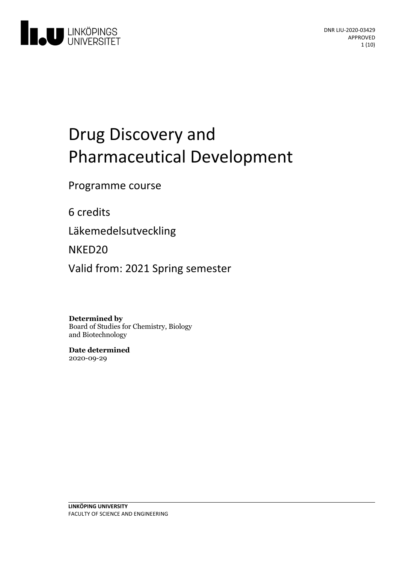

# Drug Discovery and Pharmaceutical Development

Programme course

6 credits

Läkemedelsutveckling

NKED20

Valid from: 2021 Spring semester

**Determined by**

Board of Studies for Chemistry, Biology and Biotechnology

**Date determined** 2020-09-29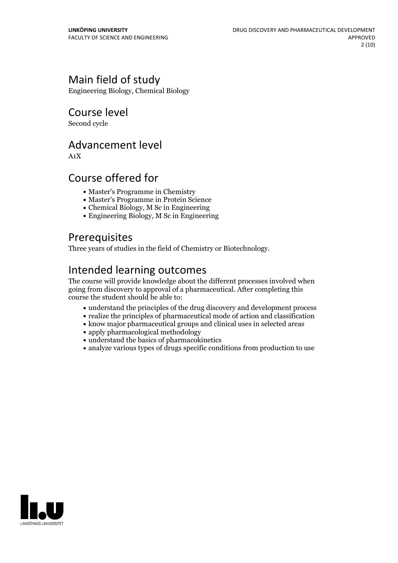# Main field of study

Engineering Biology, Chemical Biology

Course level

Second cycle

### Advancement level

A1X

# Course offered for

- Master's Programme in Chemistry
- Master's Programme in Protein Science
- Chemical Biology, M Sc in Engineering
- Engineering Biology, M Sc in Engineering

# **Prerequisites**

Three years of studies in the field of Chemistry or Biotechnology.

# Intended learning outcomes

The course will provide knowledge about the different processes involved when going from discovery to approval of a pharmaceutical. After completing this course the student should be able to:

- understand the principles of the drug discovery and development process
- $\bullet$  realize the principles of pharmaceutical mode of action and classification
- know major pharmaceutical groups and clinical uses in selected areas
- apply pharmacological methodology
- understand the basics of pharmacokinetics
- analyze various types of drugs specific conditions from production to use

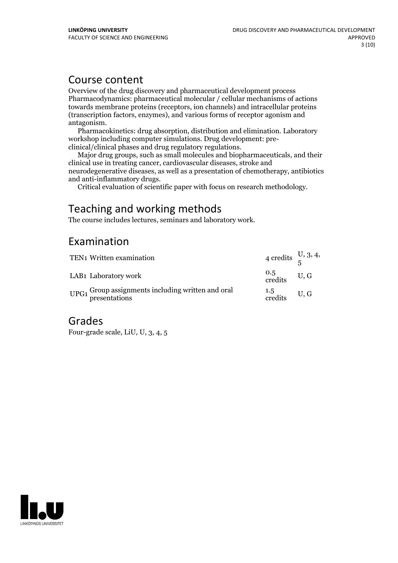### Course content

Overview of the drug discovery and pharmaceutical development process Pharmacodynamics: pharmaceutical molecular / cellular mechanisms of actions towards membrane proteins (receptors, ion channels) and intracellular proteins (transcription factors, enzymes), and various forms of receptor agonism and antagonism. Pharmacokinetics: drug absorption, distribution and elimination. Laboratory

workshop including computer simulations. Drug development: pre- clinical/clinical phases and drug regulatory regulations. Major drug groups, such as small molecules and biopharmaceuticals, and their

clinical use in treating cancer, cardiovascular diseases, stroke and neurodegenerative diseases, as well as a presentation of chemotherapy, antibiotics

Critical evaluation of scientific paper with focus on research methodology.

# Teaching and working methods

The course includes lectures, seminars and laboratory work.

# Examination

| TEN1 Written examination                                          | 4 credits $\frac{U}{5}$ , 3, 4,   |  |
|-------------------------------------------------------------------|-----------------------------------|--|
| LAB1 Laboratory work                                              | $\frac{0.5}{\text{credits}}$ U, G |  |
| $UPG1$ Group assignments including written and oral presentations | $\frac{1.5}{\text{credits}}$ U, G |  |

### Grades

Four-grade scale, LiU, U, 3, 4, 5

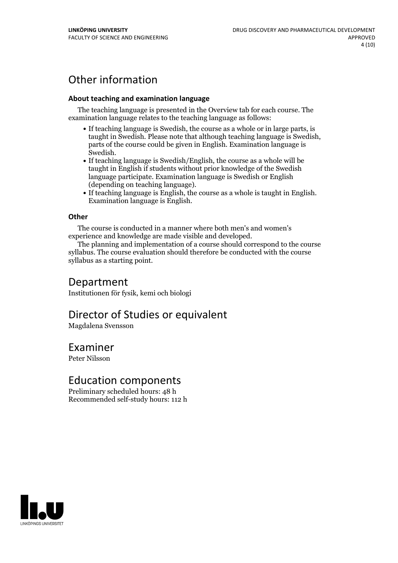# Other information

#### **About teaching and examination language**

The teaching language is presented in the Overview tab for each course. The examination language relates to the teaching language as follows:

- If teaching language is Swedish, the course as a whole or in large parts, is taught in Swedish. Please note that although teaching language is Swedish, parts of the course could be given in English. Examination language is
- Swedish.<br>• If teaching language is Swedish/English, the course as a whole will be taught in English if students without prior knowledge of the Swedish language participate. Examination language is Swedish or English
- (depending on teaching language).<br>
 If teaching language is English, the course as a whole is taught in English.<br>
Examination language is English.

#### **Other**

The course is conducted in a manner where both men's and women's

experience and knowledge are made visible and developed. The planning and implementation of <sup>a</sup> course should correspond to the course syllabus. The course evaluation should therefore be conducted with the course syllabus as a starting point.

### Department

Institutionen för fysik, kemi och biologi

### Director of Studies or equivalent

Magdalena Svensson

### Examiner

Peter Nilsson

### Education components

Preliminary scheduled hours: 48 h Recommended self-study hours: 112 h

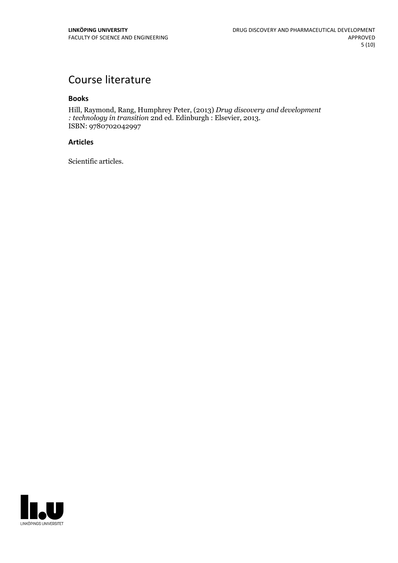# Course literature

#### **Books**

Hill, Raymond, Rang, Humphrey Peter, (2013) *Drug discovery and development : technology in transition* 2nd ed. Edinburgh : Elsevier, 2013. ISBN: <sup>9780702042997</sup>

#### **Articles**

Scientific articles.

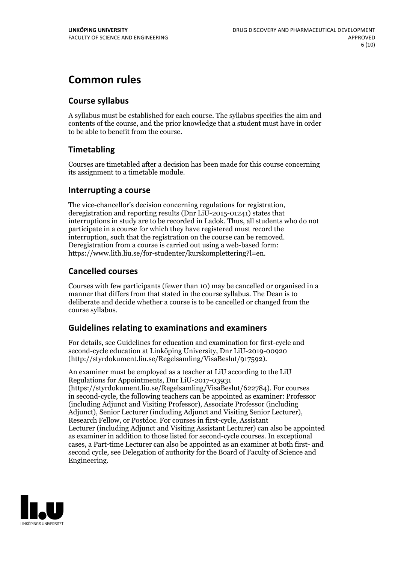# **Common rules**

### **Course syllabus**

A syllabus must be established for each course. The syllabus specifies the aim and contents of the course, and the prior knowledge that a student must have in order to be able to benefit from the course.

### **Timetabling**

Courses are timetabled after a decision has been made for this course concerning its assignment to a timetable module.

### **Interrupting a course**

The vice-chancellor's decision concerning regulations for registration, deregistration and reporting results (Dnr LiU-2015-01241) states that interruptions in study are to be recorded in Ladok. Thus, all students who do not participate in a course for which they have registered must record the interruption, such that the registration on the course can be removed. Deregistration from <sup>a</sup> course is carried outusing <sup>a</sup> web-based form: https://www.lith.liu.se/for-studenter/kurskomplettering?l=en.

### **Cancelled courses**

Courses with few participants (fewer than 10) may be cancelled or organised in a manner that differs from that stated in the course syllabus. The Dean is to deliberate and decide whether a course is to be cancelled or changed from the course syllabus.

### **Guidelines relatingto examinations and examiners**

For details, see Guidelines for education and examination for first-cycle and second-cycle education at Linköping University, Dnr LiU-2019-00920 (http://styrdokument.liu.se/Regelsamling/VisaBeslut/917592).

An examiner must be employed as a teacher at LiU according to the LiU Regulations for Appointments, Dnr LiU-2017-03931 (https://styrdokument.liu.se/Regelsamling/VisaBeslut/622784). For courses in second-cycle, the following teachers can be appointed as examiner: Professor (including Adjunct and Visiting Professor), Associate Professor (including Adjunct), Senior Lecturer (including Adjunct and Visiting Senior Lecturer), Research Fellow, or Postdoc. For courses in first-cycle, Assistant Lecturer (including Adjunct and Visiting Assistant Lecturer) can also be appointed as examiner in addition to those listed for second-cycle courses. In exceptional cases, a Part-time Lecturer can also be appointed as an examiner at both first- and second cycle, see Delegation of authority for the Board of Faculty of Science and Engineering.

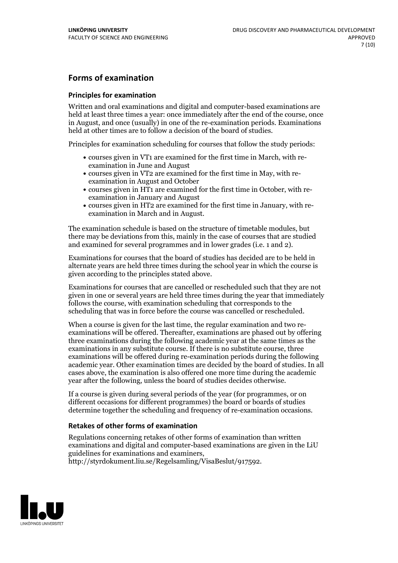### **Forms of examination**

#### **Principles for examination**

Written and oral examinations and digital and computer-based examinations are held at least three times a year: once immediately after the end of the course, once in August, and once (usually) in one of the re-examination periods. Examinations held at other times are to follow a decision of the board of studies.

Principles for examination scheduling for courses that follow the study periods:

- courses given in VT1 are examined for the first time in March, with re-examination in June and August
- courses given in VT2 are examined for the first time in May, with re-examination in August and October
- courses given in HT1 are examined for the first time in October, with re-examination in January and August
- courses given in HT2 are examined for the first time in January, with re-examination in March and in August.

The examination schedule is based on the structure of timetable modules, but there may be deviations from this, mainly in the case of courses that are studied and examined for several programmes and in lower grades (i.e. 1 and 2).

Examinations for courses that the board of studies has decided are to be held in alternate years are held three times during the school year in which the course is given according to the principles stated above.

Examinations for courses that are cancelled orrescheduled such that they are not given in one or several years are held three times during the year that immediately follows the course, with examination scheduling that corresponds to the scheduling that was in force before the course was cancelled or rescheduled.

When a course is given for the last time, the regular examination and two re-<br>examinations will be offered. Thereafter, examinations are phased out by offering three examinations during the following academic year at the same times as the examinations in any substitute course. If there is no substitute course, three examinations will be offered during re-examination periods during the following academic year. Other examination times are decided by the board of studies. In all cases above, the examination is also offered one more time during the academic year after the following, unless the board of studies decides otherwise.

If a course is given during several periods of the year (for programmes, or on different occasions for different programmes) the board or boards of studies determine together the scheduling and frequency of re-examination occasions.

#### **Retakes of other forms of examination**

Regulations concerning retakes of other forms of examination than written examinations and digital and computer-based examinations are given in the LiU guidelines for examinations and examiners, http://styrdokument.liu.se/Regelsamling/VisaBeslut/917592.

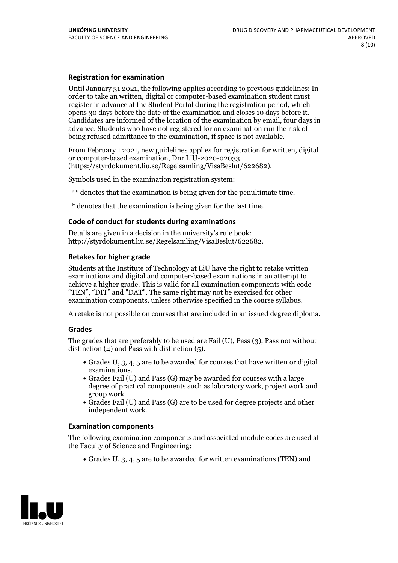#### **Registration for examination**

Until January 31 2021, the following applies according to previous guidelines: In order to take an written, digital or computer-based examination student must register in advance at the Student Portal during the registration period, which Candidates are informed of the location of the examination by email, four days in advance. Students who have not registered for an examination run the risk of being refused admittance to the examination, if space is not available.

From February 1 2021, new guidelines applies for registration for written, digital or computer-based examination, Dnr LiU-2020-02033 (https://styrdokument.liu.se/Regelsamling/VisaBeslut/622682).

Symbols used in the examination registration system:

\*\* denotes that the examination is being given for the penultimate time.

\* denotes that the examination is being given for the last time.

#### **Code of conduct for students during examinations**

Details are given in a decision in the university's rule book: http://styrdokument.liu.se/Regelsamling/VisaBeslut/622682.

#### **Retakes for higher grade**

Students at the Institute of Technology at LiU have the right to retake written examinations and digital and computer-based examinations in an attempt to achieve a higher grade. This is valid for all examination components with code "TEN", "DIT" and "DAT". The same right may not be exercised for other examination components, unless otherwise specified in the course syllabus.

A retake is not possible on courses that are included in an issued degree diploma.

#### **Grades**

The grades that are preferably to be used are Fail (U), Pass (3), Pass not without distinction  $(4)$  and Pass with distinction  $(5)$ .

- Grades U, 3, 4, 5 are to be awarded for courses that have written or digital examinations.<br>• Grades Fail (U) and Pass (G) may be awarded for courses with a large
- degree of practical components such as laboratory work, project work and
- $\bullet$  Grades Fail (U) and Pass (G) are to be used for degree projects and other independent work.

#### **Examination components**

The following examination components and associated module codes are used at the Faculty of Science and Engineering:

Grades U, 3, 4, 5 are to be awarded for written examinations (TEN) and

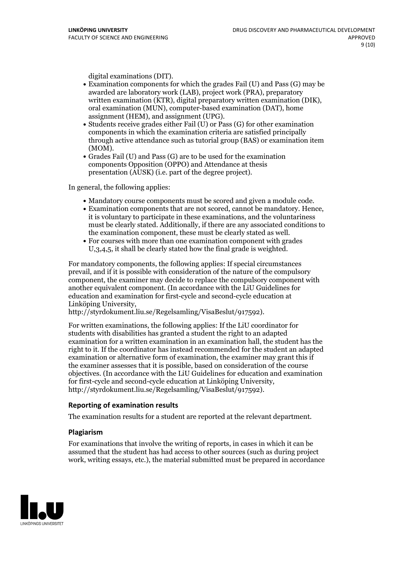- digital examinations (DIT).<br>• Examination components for which the grades Fail (U) and Pass (G) may be awarded are laboratory work (LAB), project work (PRA), preparatory written examination (KTR), digital preparatory written examination (DIK), oral examination (MUN), computer-based examination (DAT), home
- assignment (HEM), and assignment (UPG).<br>• Students receive grades either Fail (U) or Pass (G) for other examination components in which the examination criteria are satisfied principally through active attendance such as tutorial group (BAS) or examination item
- (MOM).<br>• Grades Fail (U) and Pass (G) are to be used for the examination components Opposition (OPPO) and Attendance at thesis presentation (AUSK) (i.e. part of the degree project).

In general, the following applies:

- 
- Mandatory course components must be scored and given <sup>a</sup> module code. Examination components that are not scored, cannot be mandatory. Hence, it is voluntary to participate in these examinations, and the voluntariness must be clearly stated. Additionally, if there are any associated conditions to the examination component, these must be clearly stated as well.<br>• For courses with more than one examination component with grades
- U,3,4,5, it shall be clearly stated how the final grade is weighted.

For mandatory components, the following applies: If special circumstances prevail, and if it is possible with consideration of the nature ofthe compulsory component, the examiner may decide to replace the compulsory component with another equivalent component. (In accordance with the LiU Guidelines for education and examination for first-cycle and second-cycle education at Linköping University, http://styrdokument.liu.se/Regelsamling/VisaBeslut/917592).

For written examinations, the following applies: If the LiU coordinator for students with disabilities has granted a student the right to an adapted examination for a written examination in an examination hall, the student has the right to it. If the coordinator has instead recommended for the student an adapted examination or alternative form of examination, the examiner may grant this if the examiner assesses that it is possible, based on consideration of the course objectives. (In accordance with the LiU Guidelines for education and examination for first-cycle and second-cycle education at Linköping University, http://styrdokument.liu.se/Regelsamling/VisaBeslut/917592).

#### **Reporting of examination results**

The examination results for a student are reported at the relevant department.

#### **Plagiarism**

For examinations that involve the writing of reports, in cases in which it can be assumed that the student has had access to other sources (such as during project work, writing essays, etc.), the material submitted must be prepared in accordance